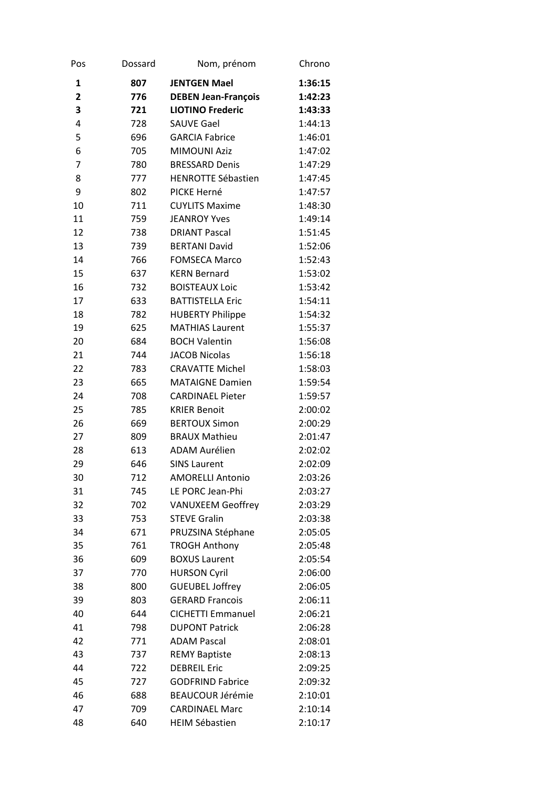| Pos          | Dossard | Nom, prénom                | Chrono  |
|--------------|---------|----------------------------|---------|
| 1            | 807     | <b>JENTGEN Mael</b>        | 1:36:15 |
| $\mathbf{2}$ | 776     | <b>DEBEN Jean-François</b> | 1:42:23 |
| 3            | 721     | <b>LIOTINO Frederic</b>    | 1:43:33 |
| 4            | 728     | <b>SAUVE Gael</b>          | 1:44:13 |
| 5            | 696     | <b>GARCIA Fabrice</b>      | 1:46:01 |
| 6            | 705     | <b>MIMOUNI Aziz</b>        | 1:47:02 |
| 7            | 780     | <b>BRESSARD Denis</b>      | 1:47:29 |
| 8            | 777     | <b>HENROTTE Sébastien</b>  | 1:47:45 |
| 9            | 802     | PICKE Herné                | 1:47:57 |
| 10           | 711     | <b>CUYLITS Maxime</b>      | 1:48:30 |
| 11           | 759     | <b>JEANROY Yves</b>        | 1:49:14 |
| 12           | 738     | <b>DRIANT Pascal</b>       | 1:51:45 |
| 13           | 739     | <b>BERTANI David</b>       | 1:52:06 |
| 14           | 766     | <b>FOMSECA Marco</b>       | 1:52:43 |
| 15           | 637     | <b>KERN Bernard</b>        | 1:53:02 |
| 16           | 732     | <b>BOISTEAUX Loic</b>      | 1:53:42 |
| 17           | 633     | <b>BATTISTELLA Eric</b>    | 1:54:11 |
| 18           | 782     | <b>HUBERTY Philippe</b>    | 1:54:32 |
| 19           | 625     | <b>MATHIAS Laurent</b>     | 1:55:37 |
| 20           | 684     | <b>BOCH Valentin</b>       | 1:56:08 |
| 21           | 744     | <b>JACOB Nicolas</b>       | 1:56:18 |
| 22           | 783     | <b>CRAVATTE Michel</b>     | 1:58:03 |
| 23           | 665     | <b>MATAIGNE Damien</b>     | 1:59:54 |
| 24           | 708     | <b>CARDINAEL Pieter</b>    | 1:59:57 |
| 25           | 785     | <b>KRIER Benoit</b>        | 2:00:02 |
| 26           | 669     | <b>BERTOUX Simon</b>       | 2:00:29 |
| 27           | 809     | <b>BRAUX Mathieu</b>       | 2:01:47 |
| 28           | 613     | <b>ADAM Aurélien</b>       | 2:02:02 |
| 29           | 646     | <b>SINS Laurent</b>        | 2:02:09 |
| 30           | 712     | <b>AMORELLI Antonio</b>    | 2:03:26 |
| 31           | 745     | LE PORC Jean-Phi           | 2:03:27 |
| 32           | 702     | <b>VANUXEEM Geoffrey</b>   | 2:03:29 |
| 33           | 753     | <b>STEVE Gralin</b>        | 2:03:38 |
| 34           | 671     | PRUZSINA Stéphane          | 2:05:05 |
| 35           | 761     | <b>TROGH Anthony</b>       | 2:05:48 |
| 36           | 609     | <b>BOXUS Laurent</b>       | 2:05:54 |
| 37           | 770     | <b>HURSON Cyril</b>        | 2:06:00 |
| 38           | 800     | <b>GUEUBEL Joffrey</b>     | 2:06:05 |
| 39           | 803     | <b>GERARD Francois</b>     | 2:06:11 |
| 40           | 644     | <b>CICHETTI Emmanuel</b>   | 2:06:21 |
| 41           | 798     | <b>DUPONT Patrick</b>      | 2:06:28 |
| 42           | 771     | <b>ADAM Pascal</b>         | 2:08:01 |
| 43           | 737     | <b>REMY Baptiste</b>       | 2:08:13 |
| 44           | 722     | <b>DEBREIL Eric</b>        | 2:09:25 |
| 45           | 727     | <b>GODFRIND Fabrice</b>    | 2:09:32 |
| 46           | 688     | <b>BEAUCOUR Jérémie</b>    | 2:10:01 |
| 47           | 709     | <b>CARDINAEL Marc</b>      | 2:10:14 |
| 48           | 640     | <b>HEIM Sébastien</b>      | 2:10:17 |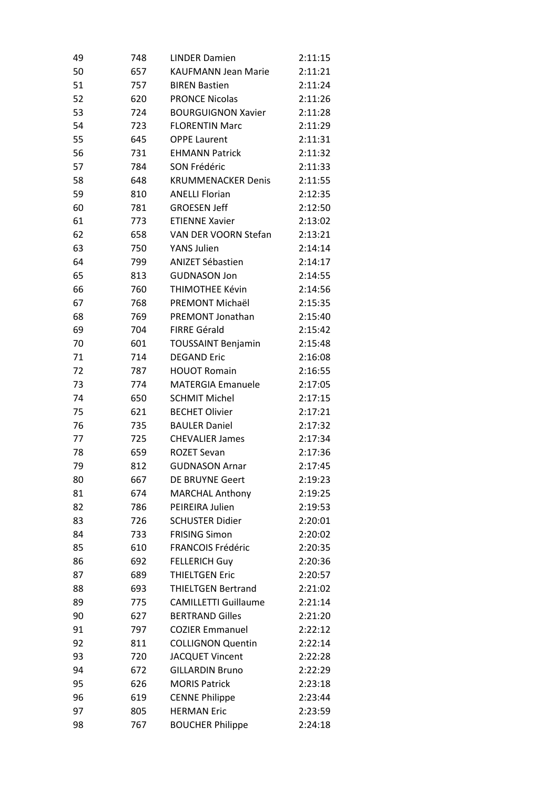| 49 | 748 | <b>LINDER Damien</b>        | 2:11:15 |
|----|-----|-----------------------------|---------|
| 50 | 657 | <b>KAUFMANN Jean Marie</b>  | 2:11:21 |
| 51 | 757 | <b>BIREN Bastien</b>        | 2:11:24 |
| 52 | 620 | <b>PRONCE Nicolas</b>       | 2:11:26 |
| 53 | 724 | <b>BOURGUIGNON Xavier</b>   | 2:11:28 |
| 54 | 723 | <b>FLORENTIN Marc</b>       | 2:11:29 |
| 55 | 645 | <b>OPPE Laurent</b>         | 2:11:31 |
| 56 | 731 | <b>EHMANN Patrick</b>       | 2:11:32 |
| 57 | 784 | SON Frédéric                | 2:11:33 |
| 58 | 648 | <b>KRUMMENACKER Denis</b>   | 2:11:55 |
| 59 | 810 | <b>ANELLI Florian</b>       | 2:12:35 |
| 60 | 781 | <b>GROESEN Jeff</b>         | 2:12:50 |
| 61 | 773 | <b>ETIENNE Xavier</b>       | 2:13:02 |
| 62 | 658 | VAN DER VOORN Stefan        | 2:13:21 |
| 63 | 750 | <b>YANS Julien</b>          | 2:14:14 |
| 64 | 799 | <b>ANIZET Sébastien</b>     | 2:14:17 |
| 65 | 813 | <b>GUDNASON Jon</b>         | 2:14:55 |
| 66 | 760 | <b>THIMOTHEE Kévin</b>      | 2:14:56 |
| 67 | 768 | PREMONT Michaël             | 2:15:35 |
| 68 | 769 | PREMONT Jonathan            | 2:15:40 |
| 69 | 704 | <b>FIRRE Gérald</b>         | 2:15:42 |
| 70 | 601 | <b>TOUSSAINT Benjamin</b>   | 2:15:48 |
| 71 | 714 | <b>DEGAND Eric</b>          | 2:16:08 |
| 72 | 787 | <b>HOUOT Romain</b>         | 2:16:55 |
| 73 | 774 | <b>MATERGIA Emanuele</b>    | 2:17:05 |
| 74 | 650 | <b>SCHMIT Michel</b>        | 2:17:15 |
| 75 | 621 | <b>BECHET Olivier</b>       | 2:17:21 |
| 76 | 735 | <b>BAULER Daniel</b>        | 2:17:32 |
| 77 | 725 | <b>CHEVALIER James</b>      | 2:17:34 |
| 78 | 659 | <b>ROZET Sevan</b>          | 2:17:36 |
| 79 | 812 | <b>GUDNASON Arnar</b>       | 2:17:45 |
| 80 | 667 | DE BRUYNE Geert             | 2:19:23 |
| 81 | 674 | <b>MARCHAL Anthony</b>      | 2:19:25 |
| 82 | 786 | PEIREIRA Julien             | 2:19:53 |
| 83 | 726 | <b>SCHUSTER Didier</b>      | 2:20:01 |
| 84 | 733 | <b>FRISING Simon</b>        | 2:20:02 |
| 85 | 610 | <b>FRANCOIS Frédéric</b>    | 2:20:35 |
| 86 | 692 | <b>FELLERICH Guy</b>        | 2:20:36 |
| 87 | 689 | <b>THIELTGEN Eric</b>       | 2:20:57 |
| 88 | 693 | <b>THIELTGEN Bertrand</b>   | 2:21:02 |
| 89 | 775 | <b>CAMILLETTI Guillaume</b> | 2:21:14 |
| 90 | 627 | <b>BERTRAND Gilles</b>      | 2:21:20 |
| 91 | 797 | <b>COZIER Emmanuel</b>      | 2:22:12 |
| 92 | 811 | <b>COLLIGNON Quentin</b>    | 2:22:14 |
| 93 | 720 | JACQUET Vincent             | 2:22:28 |
| 94 | 672 | <b>GILLARDIN Bruno</b>      | 2:22:29 |
| 95 | 626 | <b>MORIS Patrick</b>        | 2:23:18 |
| 96 | 619 | <b>CENNE Philippe</b>       | 2:23:44 |
| 97 | 805 | <b>HERMAN Eric</b>          | 2:23:59 |
| 98 | 767 | <b>BOUCHER Philippe</b>     | 2:24:18 |
|    |     |                             |         |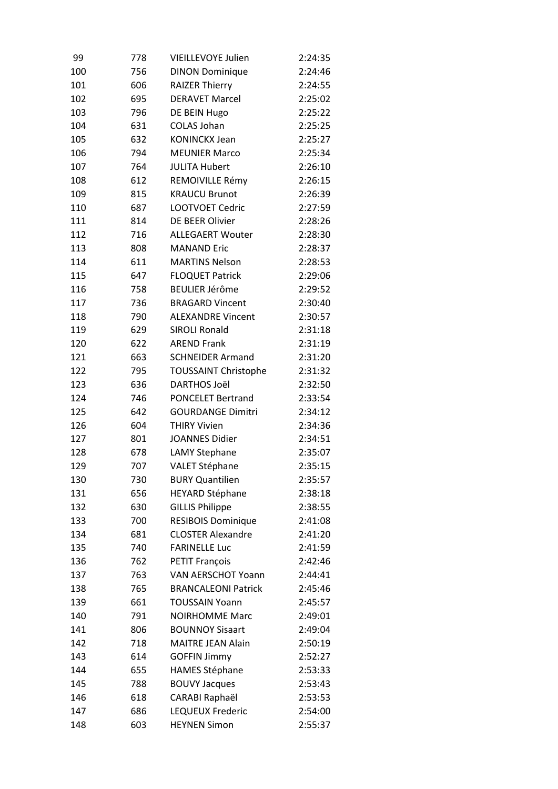| 99  | 778 | VIEILLEVOYE Julien          | 2:24:35 |
|-----|-----|-----------------------------|---------|
| 100 | 756 | <b>DINON Dominique</b>      | 2:24:46 |
| 101 | 606 | <b>RAIZER Thierry</b>       | 2:24:55 |
| 102 | 695 | <b>DERAVET Marcel</b>       | 2:25:02 |
| 103 | 796 | DE BEIN Hugo                | 2:25:22 |
| 104 | 631 | <b>COLAS Johan</b>          | 2:25:25 |
| 105 | 632 | <b>KONINCKX Jean</b>        | 2:25:27 |
| 106 | 794 | <b>MEUNIER Marco</b>        | 2:25:34 |
| 107 | 764 | <b>JULITA Hubert</b>        | 2:26:10 |
| 108 | 612 | REMOIVILLE Rémy             | 2:26:15 |
| 109 | 815 | <b>KRAUCU Brunot</b>        | 2:26:39 |
| 110 | 687 | <b>LOOTVOET Cedric</b>      | 2:27:59 |
| 111 | 814 | DE BEER Olivier             | 2:28:26 |
| 112 | 716 | <b>ALLEGAERT Wouter</b>     | 2:28:30 |
| 113 | 808 | <b>MANAND Eric</b>          | 2:28:37 |
| 114 | 611 | <b>MARTINS Nelson</b>       | 2:28:53 |
| 115 | 647 | <b>FLOQUET Patrick</b>      | 2:29:06 |
| 116 | 758 | <b>BEULIER Jérôme</b>       | 2:29:52 |
| 117 | 736 | <b>BRAGARD Vincent</b>      | 2:30:40 |
| 118 | 790 | <b>ALEXANDRE Vincent</b>    | 2:30:57 |
| 119 | 629 | <b>SIROLI Ronald</b>        | 2:31:18 |
| 120 | 622 | <b>AREND Frank</b>          | 2:31:19 |
| 121 | 663 | <b>SCHNEIDER Armand</b>     | 2:31:20 |
| 122 | 795 | <b>TOUSSAINT Christophe</b> | 2:31:32 |
| 123 | 636 | <b>DARTHOS Joël</b>         | 2:32:50 |
| 124 | 746 | <b>PONCELET Bertrand</b>    | 2:33:54 |
| 125 | 642 | <b>GOURDANGE Dimitri</b>    | 2:34:12 |
| 126 | 604 | <b>THIRY Vivien</b>         | 2:34:36 |
| 127 | 801 | <b>JOANNES Didier</b>       | 2:34:51 |
| 128 | 678 | <b>LAMY Stephane</b>        | 2:35:07 |
| 129 | 707 | VALET Stéphane              | 2:35:15 |
| 130 | 730 | <b>BURY Quantilien</b>      | 2:35:57 |
| 131 | 656 | <b>HEYARD Stéphane</b>      | 2:38:18 |
| 132 | 630 | <b>GILLIS Philippe</b>      | 2:38:55 |
| 133 | 700 | <b>RESIBOIS Dominique</b>   | 2:41:08 |
| 134 | 681 | <b>CLOSTER Alexandre</b>    | 2:41:20 |
| 135 | 740 | <b>FARINELLE Luc</b>        | 2:41:59 |
| 136 | 762 | <b>PETIT François</b>       | 2:42:46 |
| 137 | 763 | <b>VAN AERSCHOT Yoann</b>   | 2:44:41 |
| 138 | 765 | <b>BRANCALEONI Patrick</b>  | 2:45:46 |
| 139 | 661 | <b>TOUSSAIN Yoann</b>       | 2:45:57 |
| 140 | 791 | <b>NOIRHOMME Marc</b>       | 2:49:01 |
| 141 | 806 | <b>BOUNNOY Sisaart</b>      | 2:49:04 |
| 142 | 718 | <b>MAITRE JEAN Alain</b>    | 2:50:19 |
| 143 | 614 | <b>GOFFIN Jimmy</b>         | 2:52:27 |
| 144 | 655 | <b>HAMES Stéphane</b>       | 2:53:33 |
| 145 | 788 | <b>BOUVY Jacques</b>        | 2:53:43 |
| 146 | 618 | CARABI Raphaël              | 2:53:53 |
| 147 | 686 | <b>LEQUEUX Frederic</b>     | 2:54:00 |
| 148 | 603 | <b>HEYNEN Simon</b>         | 2:55:37 |